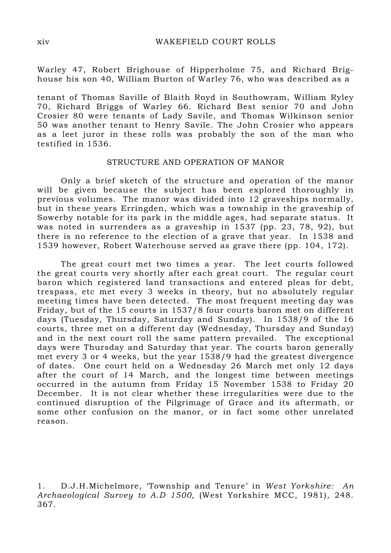Warley 47, Robert Brighouse of Hipperholme 75, and Richard Brighouse his son 40, William Burton of Warley 76, who was described as a

tenant of Thomas Saville of Blaith Royd in Southowram, William Ryley 70, Richard Briggs of Warley 66. Richard Best senior 70 and John Crosier 80 were tenants of Lady Savile, and Thomas Wilkinson senior 50 was another tenant to Henry Savile. The John Crosier who appears as a leet juror in these rolls was probably the son of the man who testified in 1536.

### STRUCTURE AND OPERATION OF MANOR

 Only a brief sketch of the structure and operation of the manor will be given because the subject has been explored thoroughly in previous volumes. The manor was divided into 12 graveships normally, but in these years Erringden, which was a township in the graveship of Sowerby notable for its park in the middle ages, had separate status. It was noted in surrenders as a graveship in 1537 (pp. 23, 78, 92), but there is no reference to the election of a grave that year. In 1538 and 1539 however, Robert Waterhouse served as grave there (pp. 104, 172).

 The great court met two times a year. The leet courts followed the great courts very shortly after each great court. The regular court baron which registered land transactions and entered pleas for debt, trespass, etc met every 3 weeks in theory, but no absolutely regular meeting times have been detected. The most frequent meeting day was Friday, but of the 15 courts in 1537/8 four courts baron met on different days (Tuesday, Thursday, Saturday and Sunday). In 1538/9 of the 16 courts, three met on a different day (Wednesday, Thursday and Sunday) and in the next court roll the same pattern prevailed. The exceptional days were Thursday and Saturday that year. The courts baron generally met every 3 or 4 weeks, but the year 1538/9 had the greatest divergence of dates. One court held on a Wednesday 26 March met only 12 days after the court of 14 March, and the longest time between meetings occurred in the autumn from Friday 15 November 1538 to Friday 20 December. It is not clear whether these irregularities were due to the continued disruption of the Pilgrimage of Grace and its aftermath, or some other confusion on the manor, or in fact some other unrelated reason.

<sup>1.</sup> D.J.H.Michelmore, 'Township and Tenure' in West Yorkshire: An Archaeological Survey to A.D 1500, (West Yorkshire MCC, 1981), 248. 367.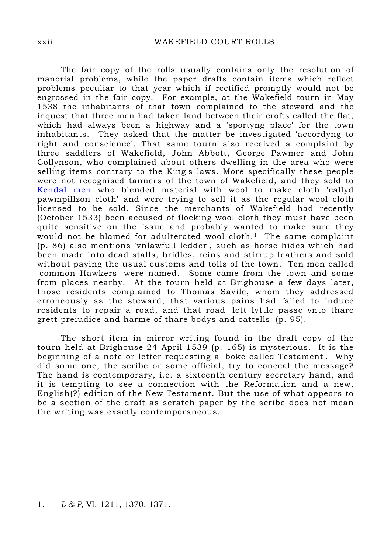The fair copy of the rolls usually contains only the resolution of manorial problems, while the paper drafts contain items which reflect problems peculiar to that year which if rectified promptly would not be engrossed in the fair copy. For example, at the Wakefield tourn in May 1538 the inhabitants of that town complained to the steward and the inquest that three men had taken land between their crofts called the flat, which had always been a highway and a 'sportyng place' for the town inhabitants. They asked that the matter be investigated 'accordyng to right and conscience'. That same tourn also received a complaint by three saddlers of Wakefield, John Abbott, George Pawmer and John Collynson, who complained about others dwelling in the area who were selling items contrary to the King's laws. More specifically these people were not recognised tanners of the town of Wakefield, and they sold to Kendal men who blended material with wool to make cloth 'callyd pawmpillzon cloth' and were trying to sell it as the regular wool cloth licensed to be sold. Since the merchants of Wakefield had recently (October 1533) been accused of flocking wool cloth they must have been quite sensitive on the issue and probably wanted to make sure they would not be blamed for adulterated wool cloth.<sup>1</sup> The same complaint (p. 86) also mentions 'vnlawfull ledder', such as horse hides which had been made into dead stalls, bridles, reins and stirrup leathers and sold without paying the usual customs and tolls of the town. Ten men called 'common Hawkers' were named. Some came from the town and some from places nearby. At the tourn held at Brighouse a few days later, those residents complained to Thomas Savile, whom they addressed erroneously as the steward, that various pains had failed to induce residents to repair a road, and that road 'lett lyttle passe vnto thare grett preiudice and harme of thare bodys and cattells' (p. 95).

 The short item in mirror writing found in the draft copy of the tourn held at Brighouse 24 April 1539 (p. 165) is mysterious. It is the beginning of a note or letter requesting a 'boke called Testament' . Why did some one, the scribe or some official, try to conceal the message? The hand is contemporary, i.e. a sixteenth century secretary hand, and it is tempting to see a connection with the Reformation and a new, English(?) edition of the New Testament. But the use of what appears to be a section of the draft as scratch paper by the scribe does not mean the writing was exactly contemporaneous.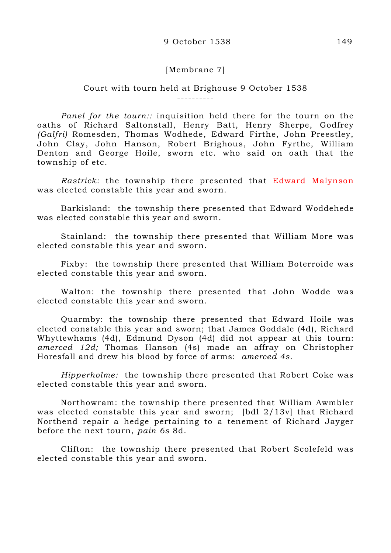## [Membrane 7]

#### Court with tourn held at Brighouse 9 October 1538 ----------

Panel for the tourn: inquisition held there for the tourn on the oaths of Richard Saltonstall, Henry Batt, Henry Sherpe, Godfrey (Galfri) Romesden, Thomas Wodhede, Edward Firthe, John Preestley, John Clay, John Hanson, Robert Brighous, John Fyrthe, William Denton and George Hoile, sworn etc. who said on oath that the township of etc.

Rastrick: the township there presented that Edward Malynson was elected constable this year and sworn.

 Barkisland: the township there presented that Edward Woddehede was elected constable this year and sworn.

 Stainland: the township there presented that William More was elected constable this year and sworn.

 Fixby: the township there presented that William Boterroide was elected constable this year and sworn.

 Walton: the township there presented that John Wodde was elected constable this year and sworn.

 Quarmby: the township there presented that Edward Hoile was elected constable this year and sworn; that James Goddale (4d), Richard Whyttewhams (4d), Edmund Dyson (4d) did not appear at this tourn: amerced 12d; Thomas Hanson (4s) made an affray on Christopher Horesfall and drew his blood by force of arms: amerced 4s.

 Hipperholme: the township there presented that Robert Coke was elected constable this year and sworn.

 Northowram: the township there presented that William Awmbler was elected constable this year and sworn; [bdl 2/13v] that Richard Northend repair a hedge pertaining to a tenement of Richard Jayger before the next tourn, pain 6s 8d.

 Clifton: the township there presented that Robert Scolefeld was elected constable this year and sworn.